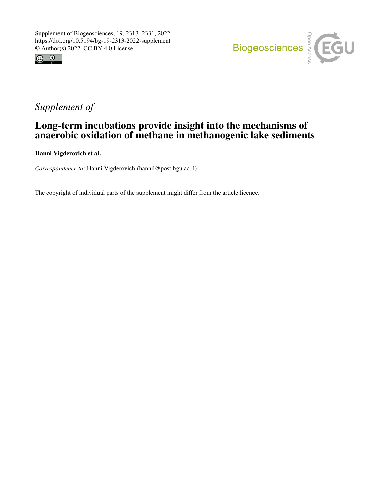



# *Supplement of*

## Long-term incubations provide insight into the mechanisms of anaerobic oxidation of methane in methanogenic lake sediments

Hanni Vigderovich et al.

*Correspondence to:* Hanni Vigderovich (hannil@post.bgu.ac.il)

The copyright of individual parts of the supplement might differ from the article licence.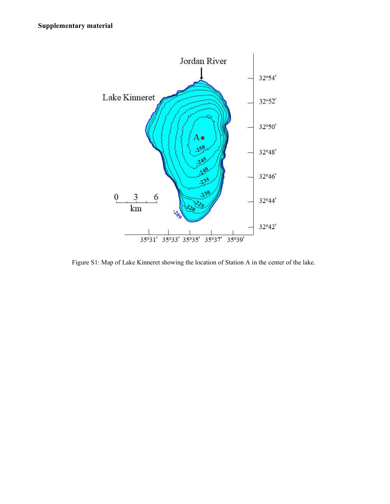

Figure S1: Map of Lake Kinneret showing the location of Station A in the center of the lake.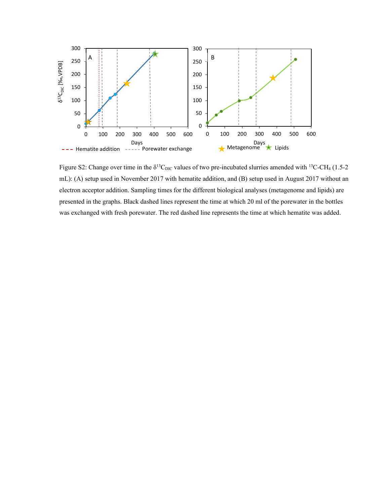

Figure S2: Change over time in the  $\delta^{13}C_{\text{DIC}}$  values of two pre-incubated slurries amended with <sup>13</sup>C-CH<sub>4</sub> (1.5-2) mL): (A) setup used in November 2017 with hematite addition, and (B) setup used in August 2017 without an electron acceptor addition. Sampling times for the different biological analyses (metagenome and lipids) are presented in the graphs. Black dashed lines represent the time at which 20 ml of the porewater in the bottles was exchanged with fresh porewater. The red dashed line represents the time at which hematite was added.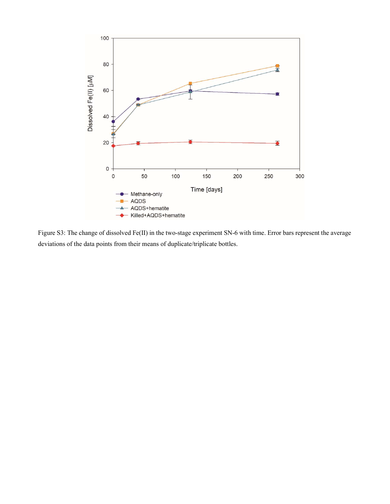

Figure S3: The change of dissolved Fe(II) in the two-stage experiment SN-6 with time. Error bars represent the average deviations of the data points from their means of duplicate/triplicate bottles.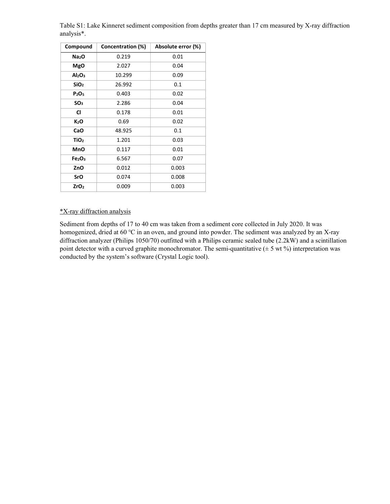| Compound                       | Concentration (%) | Absolute error (%) |  |  |
|--------------------------------|-------------------|--------------------|--|--|
| Na <sub>2</sub> O              | 0.219             | 0.01               |  |  |
| MgO                            | 2.027             | 0.04               |  |  |
| Al <sub>2</sub> O <sub>3</sub> | 10.299            | 0.09               |  |  |
| SiO <sub>2</sub>               | 26.992            | 0.1                |  |  |
| P <sub>2</sub> O <sub>5</sub>  | 0.403             | 0.02               |  |  |
| SO <sub>3</sub>                | 2.286             | 0.04               |  |  |
| CI                             | 0.178             | 0.01               |  |  |
| $K_2$ O                        | 0.69              | 0.02               |  |  |
| CaO                            | 48.925            | 0.1                |  |  |
| TiO <sub>2</sub>               | 1.201             | 0.03               |  |  |
| MnO                            | 0.117             | 0.01               |  |  |
| Fe <sub>2</sub> O <sub>3</sub> | 6.567             | 0.07               |  |  |
| ZnO                            | 0.012             | 0.003              |  |  |
| SrO                            | 0.074             | 0.008              |  |  |
| ZrO <sub>2</sub>               | 0.009             | 0.003              |  |  |

Table S1: Lake Kinneret sediment composition from depths greater than 17 cm measured by X-ray diffraction analysis\*.

## \*X-ray diffraction analysis

Sediment from depths of 17 to 40 cm was taken from a sediment core collected in July 2020. It was homogenized, dried at 60 ℃ in an oven, and ground into powder. The sediment was analyzed by an X-ray diffraction analyzer (Philips 1050/70) outfitted with a Philips ceramic sealed tube (2.2kW) and a scintillation point detector with a curved graphite monochromator. The semi-quantitative  $(\pm 5 \text{ wt } \%)$  interpretation was conducted by the system's software (Crystal Logic tool).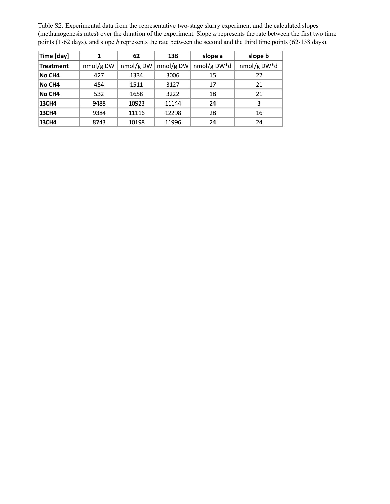|                         |                 |                   |           |             | Table S2: Experimental data from the representative two-stage slurry experiment and the calculated slopes          |
|-------------------------|-----------------|-------------------|-----------|-------------|--------------------------------------------------------------------------------------------------------------------|
|                         |                 |                   |           |             | (methanogenesis rates) over the duration of the experiment. Slope a represents the rate between the first two time |
|                         |                 |                   |           |             | points (1-62 days), and slope $b$ represents the rate between the second and the third time points (62-138 days).  |
|                         |                 |                   | 138       | slope a     | slope b                                                                                                            |
|                         |                 |                   |           |             |                                                                                                                    |
| Time [day]<br>Treatment | ${\bf 1}$       | 62                | nmol/g DW | nmol/g DW*d | nmol/g DW*d                                                                                                        |
| No CH4                  | nmol/gDW<br>427 | nmol/g DW<br>1334 | 3006      | 15          | 22                                                                                                                 |
| No CH4                  | 454             | 1511              | 3127      | 17          | 21                                                                                                                 |
| No CH4                  | 532             | 1658              | 3222      | 18          | 21                                                                                                                 |
| 13CH4                   | 9488            | 10923             | 11144     | 24          | 3                                                                                                                  |
| 13CH4                   | 9384            | 11116             | 12298     | 28          | 16                                                                                                                 |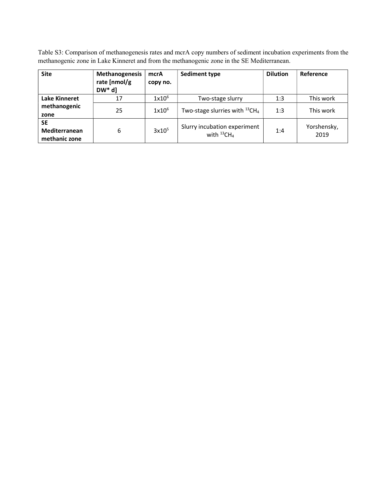Table S3: Comparison of methanogenesis rates and mcrA copy numbers of sediment incubation experiments from the methanogenic zone in Lake Kinneret and from the methanogenic zone in the SE Mediterranean.

| <b>Site</b>                                 | <b>Methanogenesis</b><br>rate [nmol/g<br>$DW^*$ d] | mcrA<br>copy no.  | <b>Sediment type</b>                             | <b>Dilution</b> | Reference           |
|---------------------------------------------|----------------------------------------------------|-------------------|--------------------------------------------------|-----------------|---------------------|
| Lake Kinneret                               | 17                                                 | $1x10^6$          | Two-stage slurry                                 | 1:3             | This work           |
| methanogenic<br>zone                        | 25                                                 | $1x10^6$          | Two-stage slurries with $^{13}CH_4$              | 1:3             | This work           |
| <b>SE</b><br>Mediterranean<br>methanic zone | 6                                                  | 3x10 <sup>5</sup> | Slurry incubation experiment<br>with $^{13}CH_4$ | 1:4             | Yorshensky,<br>2019 |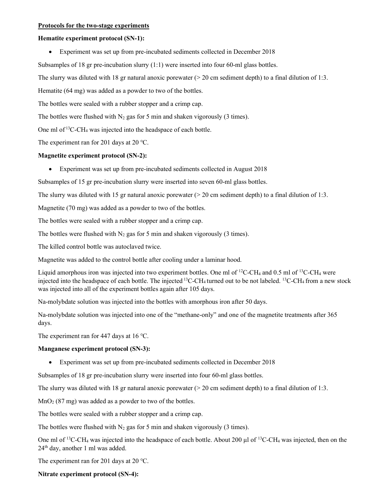#### Protocols for the two-stage experiments

#### Hematite experiment protocol (SN-1):

Experiment was set up from pre-incubated sediments collected in December 2018

Subsamples of 18 gr pre-incubation slurry (1:1) were inserted into four 60-ml glass bottles.

The slurry was diluted with 18 gr natural anoxic porewater  $(20 \text{ cm} \text{ sediment depth})$  to a final dilution of 1:3.

Hematite (64 mg) was added as a powder to two of the bottles.

The bottles were sealed with a rubber stopper and a crimp cap.

The bottles were flushed with  $N_2$  gas for 5 min and shaken vigorously (3 times).

One ml of  $13C$ -CH<sub>4</sub> was injected into the headspace of each bottle.

The experiment ran for 201 days at 20 ℃.

## Magnetite experiment protocol (SN-2):

Experiment was set up from pre-incubated sediments collected in August 2018

Subsamples of 15 gr pre-incubation slurry were inserted into seven 60-ml glass bottles.

The slurry was diluted with 15 gr natural anoxic porewater  $(20 \text{ cm} \text{ sediment depth})$  to a final dilution of 1:3.

Magnetite (70 mg) was added as a powder to two of the bottles.

The bottles were sealed with a rubber stopper and a crimp cap.

The bottles were flushed with  $N_2$  gas for 5 min and shaken vigorously (3 times).

The killed control bottle was autoclaved twice.

Magnetite was added to the control bottle after cooling under a laminar hood.

Liquid amorphous iron was injected into two experiment bottles. One ml of <sup>12</sup>C-CH<sub>4</sub> and 0.5 ml of <sup>13</sup>C-CH<sub>4</sub> were injected into the headspace of each bottle. The injected  ${}^{13}$ C-CH<sub>4</sub> turned out to be not labeled.  ${}^{13}$ C-CH<sub>4</sub> from a new stock was injected into all of the experiment bottles again after 105 days.

Na-molybdate solution was injected into the bottles with amorphous iron after 50 days.

Na-molybdate solution was injected into one of the "methane-only" and one of the magnetite treatments after 365 days.

The experiment ran for 447 days at 16 ℃.

#### Manganese experiment protocol (SN-3):

Experiment was set up from pre-incubated sediments collected in December 2018

Subsamples of 18 gr pre-incubation slurry were inserted into four 60-ml glass bottles.

The slurry was diluted with 18 gr natural anoxic porewater  $(> 20 \text{ cm} \text{ sediment depth})$  to a final dilution of 1:3.

 $MnO<sub>2</sub>$  (87 mg) was added as a powder to two of the bottles.

The bottles were sealed with a rubber stopper and a crimp cap.

The bottles were flushed with  $N_2$  gas for 5 min and shaken vigorously (3 times).

One ml of <sup>13</sup>C-CH<sub>4</sub> was injected into the headspace of each bottle. About 200 µl of <sup>13</sup>C-CH<sub>4</sub> was injected, then on the 24th day, another 1 ml was added.

The experiment ran for 201 days at 20 ℃.

Nitrate experiment protocol (SN-4):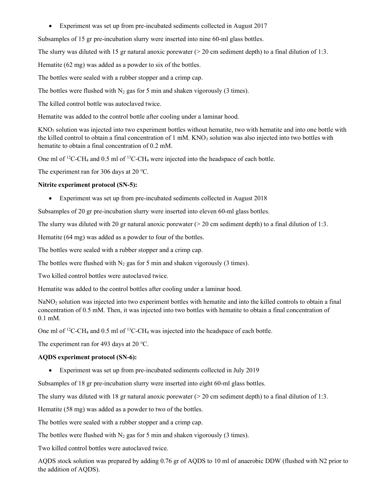Experiment was set up from pre-incubated sediments collected in August 2017

Subsamples of 15 gr pre-incubation slurry were inserted into nine 60-ml glass bottles.

The slurry was diluted with 15 gr natural anoxic porewater  $(> 20 \text{ cm} \text{ sediment depth})$  to a final dilution of 1:3.

Hematite (62 mg) was added as a powder to six of the bottles.

The bottles were sealed with a rubber stopper and a crimp cap.

The bottles were flushed with  $N_2$  gas for 5 min and shaken vigorously (3 times).

The killed control bottle was autoclaved twice.

Hematite was added to the control bottle after cooling under a laminar hood.

KNO3 solution was injected into two experiment bottles without hematite, two with hematite and into one bottle with the killed control to obtain a final concentration of  $1 \text{ mM}$ . KNO<sub>3</sub> solution was also injected into two bottles with hematite to obtain a final concentration of 0.2 mM.

One ml of <sup>12</sup>C-CH<sub>4</sub> and 0.5 ml of <sup>13</sup>C-CH<sub>4</sub> were injected into the headspace of each bottle.

The experiment ran for 306 days at 20 ℃.

## Nitrite experiment protocol (SN-5):

Experiment was set up from pre-incubated sediments collected in August 2018

Subsamples of 20 gr pre-incubation slurry were inserted into eleven 60-ml glass bottles.

The slurry was diluted with 20 gr natural anoxic porewater  $(> 20 \text{ cm} \text{ sediment depth})$  to a final dilution of 1:3.

Hematite (64 mg) was added as a powder to four of the bottles.

The bottles were sealed with a rubber stopper and a crimp cap.

The bottles were flushed with  $N_2$  gas for 5 min and shaken vigorously (3 times).

Two killed control bottles were autoclaved twice.

Hematite was added to the control bottles after cooling under a laminar hood.

NaNO2 solution was injected into two experiment bottles with hematite and into the killed controls to obtain a final concentration of 0.5 mM. Then, it was injected into two bottles with hematite to obtain a final concentration of 0.1 mM.

One ml of  ${}^{12}$ C-CH<sub>4</sub> and 0.5 ml of  ${}^{13}$ C-CH<sub>4</sub> was injected into the headspace of each bottle.

The experiment ran for 493 days at 20 ℃.

## AQDS experiment protocol (SN-6):

Experiment was set up from pre-incubated sediments collected in July 2019

Subsamples of 18 gr pre-incubation slurry were inserted into eight 60-ml glass bottles.

The slurry was diluted with 18 gr natural anoxic porewater  $(> 20 \text{ cm} \text{ sediment depth})$  to a final dilution of 1:3.

Hematite (58 mg) was added as a powder to two of the bottles.

The bottles were sealed with a rubber stopper and a crimp cap.

The bottles were flushed with  $N_2$  gas for 5 min and shaken vigorously (3 times).

Two killed control bottles were autoclaved twice.

AQDS stock solution was prepared by adding 0.76 gr of AQDS to 10 ml of anaerobic DDW (flushed with N2 prior to the addition of AQDS).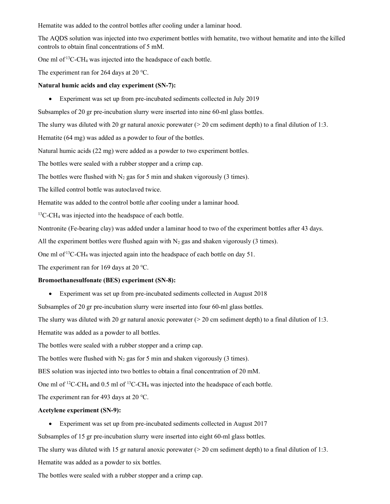Hematite was added to the control bottles after cooling under a laminar hood.

The AQDS solution was injected into two experiment bottles with hematite, two without hematite and into the killed controls to obtain final concentrations of 5 mM.

One ml of <sup>13</sup>C-CH<sub>4</sub> was injected into the headspace of each bottle.

The experiment ran for 264 days at 20 ℃.

#### Natural humic acids and clay experiment (SN-7):

Experiment was set up from pre-incubated sediments collected in July 2019

Subsamples of 20 gr pre-incubation slurry were inserted into nine 60-ml glass bottles.

The slurry was diluted with 20 gr natural anoxic porewater  $($  > 20 cm sediment depth) to a final dilution of 1:3.

Hematite (64 mg) was added as a powder to four of the bottles.

Natural humic acids (22 mg) were added as a powder to two experiment bottles.

The bottles were sealed with a rubber stopper and a crimp cap.

The bottles were flushed with  $N_2$  gas for 5 min and shaken vigorously (3 times).

The killed control bottle was autoclaved twice.

Hematite was added to the control bottle after cooling under a laminar hood.

<sup>13</sup>C-CH<sub>4</sub> was injected into the headspace of each bottle.

Nontronite (Fe-bearing clay) was added under a laminar hood to two of the experiment bottles after 43 days.

All the experiment bottles were flushed again with  $N_2$  gas and shaken vigorously (3 times).

One ml of  $13C$ -CH<sub>4</sub> was injected again into the headspace of each bottle on day 51.

The experiment ran for 169 days at 20 ℃.

#### Bromoethanesulfonate (BES) experiment (SN-8):

Experiment was set up from pre-incubated sediments collected in August 2018

Subsamples of 20 gr pre-incubation slurry were inserted into four 60-ml glass bottles.

The slurry was diluted with 20 gr natural anoxic porewater  $(> 20 \text{ cm} \text{ sediment depth})$  to a final dilution of 1:3.

Hematite was added as a powder to all bottles.

The bottles were sealed with a rubber stopper and a crimp cap.

The bottles were flushed with  $N_2$  gas for 5 min and shaken vigorously (3 times).

BES solution was injected into two bottles to obtain a final concentration of 20 mM.

One ml of  ${}^{12}C$ -CH<sub>4</sub> and 0.5 ml of  ${}^{13}C$ -CH<sub>4</sub> was injected into the headspace of each bottle.

The experiment ran for 493 days at 20 ℃.

#### Acetylene experiment (SN-9):

Experiment was set up from pre-incubated sediments collected in August 2017

Subsamples of 15 gr pre-incubation slurry were inserted into eight 60-ml glass bottles.

The slurry was diluted with 15 gr natural anoxic porewater  $(> 20 \text{ cm} \text{ sediment depth})$  to a final dilution of 1:3.

Hematite was added as a powder to six bottles.

The bottles were sealed with a rubber stopper and a crimp cap.